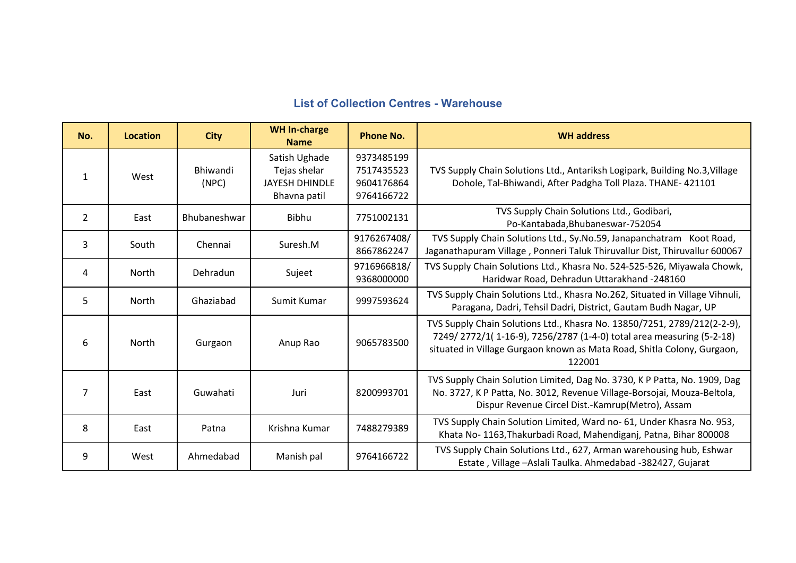## **List of Collection Centres - Warehouse**

| No.            | <b>Location</b> | <b>City</b>              | <b>WH In-charge</b><br><b>Name</b>                                     | <b>Phone No.</b>                                     | <b>WH address</b>                                                                                                                                                                                                                     |
|----------------|-----------------|--------------------------|------------------------------------------------------------------------|------------------------------------------------------|---------------------------------------------------------------------------------------------------------------------------------------------------------------------------------------------------------------------------------------|
| 1              | West            | <b>Bhiwandi</b><br>(NPC) | Satish Ughade<br>Tejas shelar<br><b>JAYESH DHINDLE</b><br>Bhavna patil | 9373485199<br>7517435523<br>9604176864<br>9764166722 | TVS Supply Chain Solutions Ltd., Antariksh Logipark, Building No.3, Village<br>Dohole, Tal-Bhiwandi, After Padgha Toll Plaza. THANE- 421101                                                                                           |
| $\overline{2}$ | East            | Bhubaneshwar             | Bibhu                                                                  | 7751002131                                           | TVS Supply Chain Solutions Ltd., Godibari,<br>Po-Kantabada, Bhubaneswar-752054                                                                                                                                                        |
| 3              | South           | Chennai                  | Suresh.M                                                               | 9176267408/<br>8667862247                            | TVS Supply Chain Solutions Ltd., Sy.No.59, Janapanchatram Koot Road,<br>Jaganathapuram Village, Ponneri Taluk Thiruvallur Dist, Thiruvallur 600067                                                                                    |
| 4              | North           | Dehradun                 | Sujeet                                                                 | 9716966818/<br>9368000000                            | TVS Supply Chain Solutions Ltd., Khasra No. 524-525-526, Miyawala Chowk,<br>Haridwar Road, Dehradun Uttarakhand -248160                                                                                                               |
| 5              | North           | Ghaziabad                | Sumit Kumar                                                            | 9997593624                                           | TVS Supply Chain Solutions Ltd., Khasra No.262, Situated in Village Vihnuli,<br>Paragana, Dadri, Tehsil Dadri, District, Gautam Budh Nagar, UP                                                                                        |
| 6              | North           | Gurgaon                  | Anup Rao                                                               | 9065783500                                           | TVS Supply Chain Solutions Ltd., Khasra No. 13850/7251, 2789/212(2-2-9),<br>7249/2772/1(1-16-9), 7256/2787 (1-4-0) total area measuring (5-2-18)<br>situated in Village Gurgaon known as Mata Road, Shitla Colony, Gurgaon,<br>122001 |
| $\overline{7}$ | East            | Guwahati                 | Juri                                                                   | 8200993701                                           | TVS Supply Chain Solution Limited, Dag No. 3730, K P Patta, No. 1909, Dag<br>No. 3727, K P Patta, No. 3012, Revenue Village-Borsojai, Mouza-Beltola,<br>Dispur Revenue Circel Dist.-Kamrup(Metro), Assam                              |
| 8              | East            | Patna                    | Krishna Kumar                                                          | 7488279389                                           | TVS Supply Chain Solution Limited, Ward no- 61, Under Khasra No. 953,<br>Khata No-1163, Thakurbadi Road, Mahendiganj, Patna, Bihar 800008                                                                                             |
| 9              | West            | Ahmedabad                | Manish pal                                                             | 9764166722                                           | TVS Supply Chain Solutions Ltd., 627, Arman warehousing hub, Eshwar<br>Estate, Village - Aslali Taulka. Ahmedabad - 382427, Gujarat                                                                                                   |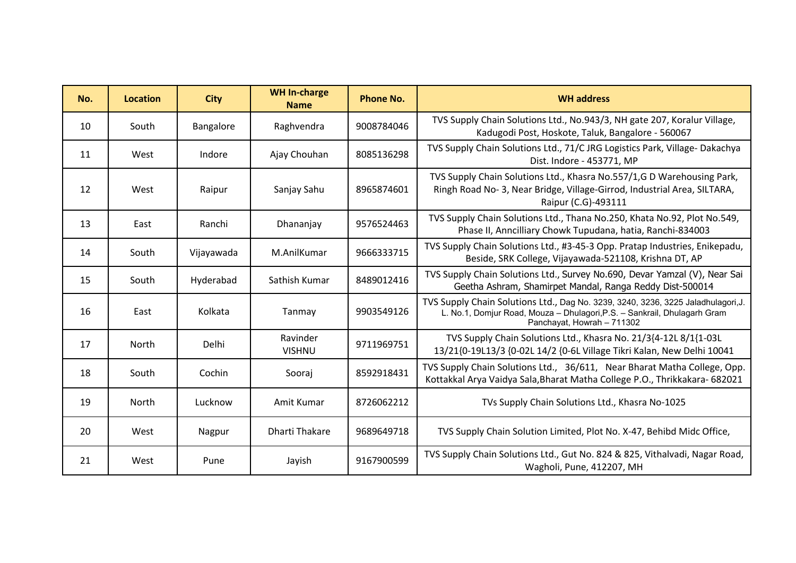| No. | <b>Location</b> | <b>City</b> | <b>WH In-charge</b><br><b>Name</b> | <b>Phone No.</b> | <b>WH</b> address                                                                                                                                                                           |
|-----|-----------------|-------------|------------------------------------|------------------|---------------------------------------------------------------------------------------------------------------------------------------------------------------------------------------------|
| 10  | South           | Bangalore   | Raghvendra                         | 9008784046       | TVS Supply Chain Solutions Ltd., No.943/3, NH gate 207, Koralur Village,<br>Kadugodi Post, Hoskote, Taluk, Bangalore - 560067                                                               |
| 11  | West            | Indore      | Ajay Chouhan                       | 8085136298       | TVS Supply Chain Solutions Ltd., 71/C JRG Logistics Park, Village-Dakachya<br>Dist. Indore - 453771, MP                                                                                     |
| 12  | West            | Raipur      | Sanjay Sahu                        | 8965874601       | TVS Supply Chain Solutions Ltd., Khasra No.557/1,G D Warehousing Park,<br>Ringh Road No-3, Near Bridge, Village-Girrod, Industrial Area, SILTARA,<br>Raipur (C.G)-493111                    |
| 13  | East            | Ranchi      | Dhananjay                          | 9576524463       | TVS Supply Chain Solutions Ltd., Thana No.250, Khata No.92, Plot No.549,<br>Phase II, Anncilliary Chowk Tupudana, hatia, Ranchi-834003                                                      |
| 14  | South           | Vijayawada  | M.AnilKumar                        | 9666333715       | TVS Supply Chain Solutions Ltd., #3-45-3 Opp. Pratap Industries, Enikepadu,<br>Beside, SRK College, Vijayawada-521108, Krishna DT, AP                                                       |
| 15  | South           | Hyderabad   | Sathish Kumar                      | 8489012416       | TVS Supply Chain Solutions Ltd., Survey No.690, Devar Yamzal (V), Near Sai<br>Geetha Ashram, Shamirpet Mandal, Ranga Reddy Dist-500014                                                      |
| 16  | East            | Kolkata     | Tanmay                             | 9903549126       | TVS Supply Chain Solutions Ltd., Dag No. 3239, 3240, 3236, 3225 Jaladhulagori, J.<br>L. No.1, Domjur Road, Mouza - Dhulagori, P.S. - Sankrail, Dhulagarh Gram<br>Panchayat, Howrah - 711302 |
| 17  | North           | Delhi       | Ravinder<br><b>VISHNU</b>          | 9711969751       | TVS Supply Chain Solutions Ltd., Khasra No. 21/3{4-12L 8/1{1-03L<br>13/21{0-19L13/3 {0-02L 14/2 {0-6L Village Tikri Kalan, New Delhi 10041                                                  |
| 18  | South           | Cochin      | Sooraj                             | 8592918431       | TVS Supply Chain Solutions Ltd., 36/611, Near Bharat Matha College, Opp.<br>Kottakkal Arya Vaidya Sala, Bharat Matha College P.O., Thrikkakara- 682021                                      |
| 19  | North           | Lucknow     | Amit Kumar                         | 8726062212       | TVs Supply Chain Solutions Ltd., Khasra No-1025                                                                                                                                             |
| 20  | West            | Nagpur      | <b>Dharti Thakare</b>              | 9689649718       | TVS Supply Chain Solution Limited, Plot No. X-47, Behibd Midc Office,                                                                                                                       |
| 21  | West            | Pune        | Jayish                             | 9167900599       | TVS Supply Chain Solutions Ltd., Gut No. 824 & 825, Vithalvadi, Nagar Road,<br>Wagholi, Pune, 412207, MH                                                                                    |